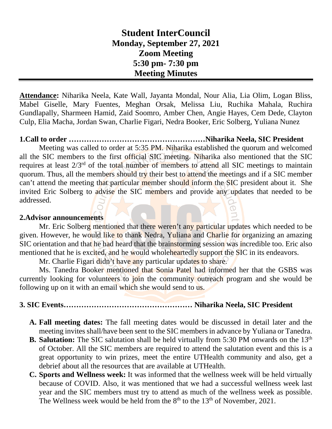# **Student InterCouncil Monday, September 27, 2021 Zoom Meeting 5:30 pm- 7:30 pm Meeting Minutes**

**Attendance:** Niharika Neela, Kate Wall, Jayanta Mondal, Nour Alia, Lia Olim, Logan Bliss, Mabel Giselle, Mary Fuentes, Meghan Orsak, Melissa Liu, Ruchika Mahala, Ruchira Gundlapally, Sharmeen Hamid, Zaid Soomro, Amber Chen, Angie Hayes, Cem Dede, Clayton Culp, Elia Macha, Jordan Swan, Charlie Figari, Nedra Booker, Eric Solberg, Yuliana Nunez

### **1.Call to order ………………………………………………Niharika Neela, SIC President**

Meeting was called to order at 5:35 PM. Niharika established the quorum and welcomed all the SIC members to the first official SIC meeting. Niharika also mentioned that the SIC requires at least 2/3rd of the total number of members to attend all SIC meetings to maintain quorum. Thus, all the members should try their best to attend the meetings and if a SIC member can't attend the meeting that particular member should inform the SIC president about it. She invited Eric Solberg to advise the SIC members and provide any updates that needed to be addressed.

#### **2.Advisor announcements**

Mr. Eric Solberg mentioned that there weren't any particular updates which needed to be given. However, he would like to thank Nedra, Yuliana and Charlie for organizing an amazing SIC orientation and that he had heard that the brainstorming session was incredible too. Eric also mentioned that he is excited, and he would wholeheartedly support the SIC in its endeavors.

Mr. Charlie Figari didn't have any particular updates to share.

Ms. Tanedra Booker mentioned that Sonia Patel had informed her that the GSBS was currently looking for volunteers to join the community outreach program and she would be following up on it with an email which she would send to us.

#### **3. SIC Events…………………………………………… Niharika Neela, SIC President**

- **A. Fall meeting dates:** The fall meeting dates would be discussed in detail later and the meeting invites shall/have been sent to the SIC members in advance by Yuliana or Tanedra.
- **B.** Salutation: The SIC salutation shall be held virtually from 5:30 PM onwards on the 13<sup>th</sup> of October. All the SIC members are required to attend the salutation event and this is a great opportunity to win prizes, meet the entire UTHealth community and also, get a debrief about all the resources that are available at UTHealth.
- **C. Sports and Wellness week:** It was informed that the wellness week will be held virtually because of COVID. Also, it was mentioned that we had a successful wellness week last year and the SIC members must try to attend as much of the wellness week as possible. The Wellness week would be held from the  $8<sup>th</sup>$  to the  $13<sup>th</sup>$  of November, 2021.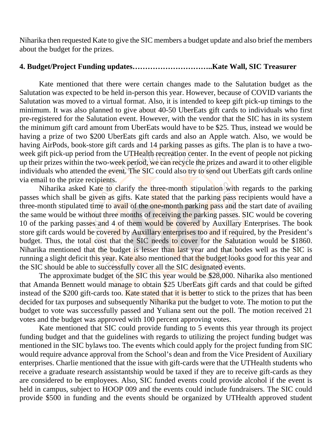Niharika then requested Kate to give the SIC members a budget update and also brief the members about the budget for the prizes.

#### **4. Budget/Project Funding updates…………………………..Kate Wall, SIC Treasurer**

Kate mentioned that there were certain changes made to the Salutation budget as the Salutation was expected to be held in-person this year. However, because of COVID variants the Salutation was moved to a virtual format. Also, it is intended to keep gift pick-up timings to the minimum. It was also planned to give about 40-50 UberEats gift cards to individuals who first pre-registered for the Salutation event. However, with the vendor that the SIC has in its system the minimum gift card amount from UberEats would have to be \$25. Thus, instead we would be having a prize of two \$200 UberEats gift cards and also an Apple watch. Also, we would be having AirPods, book-store gift cards and 14 parking passes as gifts. The plan is to have a twoweek gift pick-up period from the UTHealth recreation center. In the event of people not picking up their prizes within the two-week period, we can recycle the prizes and award it to other eligible individuals who attended the event. The SIC could also try to send out UberEats gift cards online via email to the prize recipients.

Niharika asked Kate to clarify the three-month stipulation with regards to the parking passes which shall be given as gifts. Kate stated that the parking pass recipients would have a three-month stipulated time to avail of the one-month parking pass and the start date of availing the same would be without three months of receiving the parking passes. SIC would be covering 10 of the parking passes and 4 of them would be covered by Auxillary Enterprises. The book store gift cards would be covered by Auxillary enterprises too and if required, by the President's budget. Thus, the total cost that the SIC needs to cover for the Salutation would be \$1860. Niharika mentioned that the budget is lesser than last year and that bodes well as the SIC is running a slight deficit this year. Kate also mentioned that the budget looks good for this year and the SIC should be able to successfully cover all the SIC designated events.

The approximate budget of the SIC this year would be \$28,000. Niharika also mentioned that Amanda Bennett would manage to obtain \$25 UberEats gift cards and that could be gifted instead of the \$200 gift-cards too. Kate stated that it is better to stick to the prizes that has been decided for tax purposes and subsequently Niharika put the budget to vote. The motion to put the budget to vote was successfully passed and Yuliana sent out the poll. The motion received 21 votes and the budget was approved with 100 percent approving votes.

Kate mentioned that SIC could provide funding to 5 events this year through its project funding budget and that the guidelines with regards to utilizing the project funding budget was mentioned in the SIC bylaws too. The events which could apply for the project funding from SIC would require advance approval from the School's dean and from the Vice President of Auxiliary enterprises. Charlie mentioned that the issue with gift-cards were that the UTHealth students who receive a graduate research assistantship would be taxed if they are to receive gift-cards as they are considered to be employees. Also, SIC funded events could provide alcohol if the event is held in campus, subject to HOOP 009 and the events could include fundraisers. The SIC could provide \$500 in funding and the events should be organized by UTHealth approved student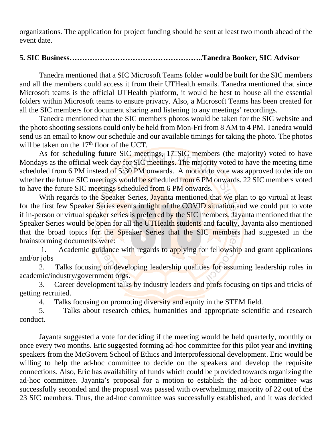organizations. The application for project funding should be sent at least two month ahead of the event date.

## **5. SIC Business……………………………………………..Tanedra Booker, SIC Advisor**

Tanedra mentioned that a SIC Microsoft Teams folder would be built for the SIC members and all the members could access it from their UTHealth emails. Tanedra mentioned that since Microsoft teams is the official UTHealth platform, it would be best to house all the essential folders within Microsoft teams to ensure privacy. Also, a Microsoft Teams has been created for all the SIC members for document sharing and listening to any meetings' recordings.

Tanedra mentioned that the SIC members photos would be taken for the SIC website and the photo shooting sessions could only be held from Mon-Fri from 8 AM to 4 PM. Tanedra would send us an email to know our schedule and our available timings for taking the photo. The photos will be taken on the  $17<sup>th</sup>$  floor of the UCT.

As for scheduling future SIC meetings, 17 SIC members (the majority) voted to have Mondays as the official week day for SIC meetings. The majority voted to have the meeting time scheduled from 6 PM instead of 5:30 PM onwards. A motion to vote was approved to decide on whether the future SIC meetings would be scheduled from 6 PM onwards. 22 SIC members voted to have the future SIC meetings scheduled from 6 PM onwards.

With regards to the Speaker Series, Jayanta mentioned that we plan to go virtual at least for the first few Speaker Series events in light of the COVID situation and we could put to vote if in-person or virtual speaker series is preferred by the SIC members. Jayanta mentioned that the Speaker Series would be open for all the UTHealth students and faculty. Jayanta also mentioned that the broad topics for the Speaker Series that the SIC members had suggested in the brainstorming documents were:

1. Academic guidance with regards to applying for fellowship and grant applications and/or jobs

2. Talks focusing on developing leadership qualities for assuming leadership roles in academic/industry/government orgs.

3. Career development talks by industry leaders and profs focusing on tips and tricks of getting recruited.

4. Talks focusing on promoting diversity and equity in the STEM field.

5. Talks about research ethics, humanities and appropriate scientific and research conduct.

Jayanta suggested a vote for deciding if the meeting would be held quarterly, monthly or once every two months. Eric suggested forming ad-hoc committee for this pilot year and inviting speakers from the McGovern School of Ethics and Interprofessional development. Eric would be willing to help the ad-hoc committee to decide on the speakers and develop the requisite connections. Also, Eric has availability of funds which could be provided towards organizing the ad-hoc committee. Jayanta's proposal for a motion to establish the ad-hoc committee was successfully seconded and the proposal was passed with overwhelming majority of 22 out of the 23 SIC members. Thus, the ad-hoc committee was successfully established, and it was decided